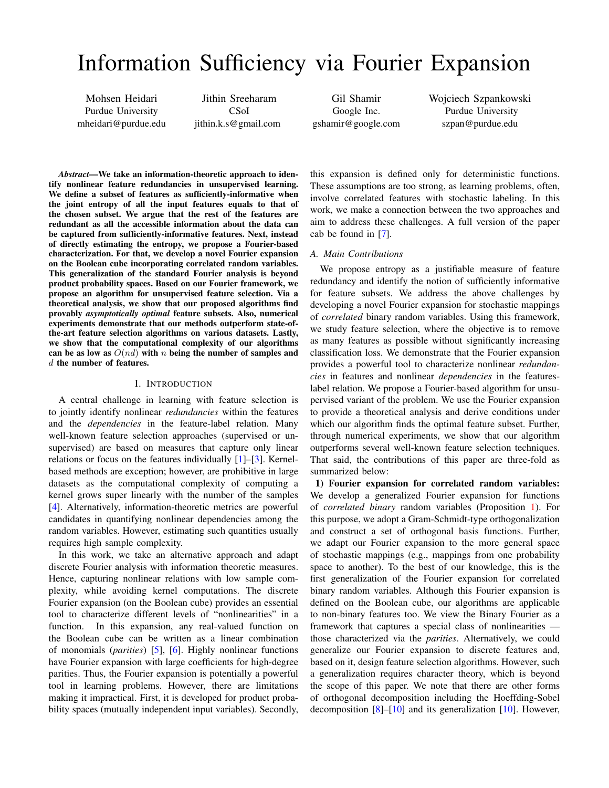# Information Sufficiency via Fourier Expansion

Mohsen Heidari Purdue University mheidari@purdue.edu

Jithin Sreeharam CSoI jithin.k.s@gmail.com

Gil Shamir Google Inc. gshamir@google.com

Wojciech Szpankowski Purdue University szpan@purdue.edu

*Abstract*—We take an information-theoretic approach to identify nonlinear feature redundancies in unsupervised learning. We define a subset of features as sufficiently-informative when the joint entropy of all the input features equals to that of the chosen subset. We argue that the rest of the features are redundant as all the accessible information about the data can be captured from sufficiently-informative features. Next, instead of directly estimating the entropy, we propose a Fourier-based characterization. For that, we develop a novel Fourier expansion on the Boolean cube incorporating correlated random variables. This generalization of the standard Fourier analysis is beyond product probability spaces. Based on our Fourier framework, we propose an algorithm for unsupervised feature selection. Via a theoretical analysis, we show that our proposed algorithms find provably *asymptotically optimal* feature subsets. Also, numerical experiments demonstrate that our methods outperform state-ofthe-art feature selection algorithms on various datasets. Lastly, we show that the computational complexity of our algorithms can be as low as  $O(nd)$  with n being the number of samples and d the number of features.

# I. INTRODUCTION

A central challenge in learning with feature selection is to jointly identify nonlinear *redundancies* within the features and the *dependencies* in the feature-label relation. Many well-known feature selection approaches (supervised or unsupervised) are based on measures that capture only linear relations or focus on the features individually [\[1\]](#page-5-0)–[\[3\]](#page-5-1). Kernelbased methods are exception; however, are prohibitive in large datasets as the computational complexity of computing a kernel grows super linearly with the number of the samples [\[4\]](#page-5-2). Alternatively, information-theoretic metrics are powerful candidates in quantifying nonlinear dependencies among the random variables. However, estimating such quantities usually requires high sample complexity.

In this work, we take an alternative approach and adapt discrete Fourier analysis with information theoretic measures. Hence, capturing nonlinear relations with low sample complexity, while avoiding kernel computations. The discrete Fourier expansion (on the Boolean cube) provides an essential tool to characterize different levels of "nonlinearities" in a function. In this expansion, any real-valued function on the Boolean cube can be written as a linear combination of monomials (*parities*) [\[5\]](#page-5-3), [\[6\]](#page-5-4). Highly nonlinear functions have Fourier expansion with large coefficients for high-degree parities. Thus, the Fourier expansion is potentially a powerful tool in learning problems. However, there are limitations making it impractical. First, it is developed for product probability spaces (mutually independent input variables). Secondly,

this expansion is defined only for deterministic functions. These assumptions are too strong, as learning problems, often, involve correlated features with stochastic labeling. In this work, we make a connection between the two approaches and aim to address these challenges. A full version of the paper cab be found in [\[7\]](#page-5-5).

## *A. Main Contributions*

We propose entropy as a justifiable measure of feature redundancy and identify the notion of sufficiently informative for feature subsets. We address the above challenges by developing a novel Fourier expansion for stochastic mappings of *correlated* binary random variables. Using this framework, we study feature selection, where the objective is to remove as many features as possible without significantly increasing classification loss. We demonstrate that the Fourier expansion provides a powerful tool to characterize nonlinear *redundancies* in features and nonlinear *dependencies* in the featureslabel relation. We propose a Fourier-based algorithm for unsupervised variant of the problem. We use the Fourier expansion to provide a theoretical analysis and derive conditions under which our algorithm finds the optimal feature subset. Further, through numerical experiments, we show that our algorithm outperforms several well-known feature selection techniques. That said, the contributions of this paper are three-fold as summarized below:

1) Fourier expansion for correlated random variables: We develop a generalized Fourier expansion for functions of *correlated binary* random variables (Proposition [1\)](#page-2-0). For this purpose, we adopt a Gram-Schmidt-type orthogonalization and construct a set of orthogonal basis functions. Further, we adapt our Fourier expansion to the more general space of stochastic mappings (e.g., mappings from one probability space to another). To the best of our knowledge, this is the first generalization of the Fourier expansion for correlated binary random variables. Although this Fourier expansion is defined on the Boolean cube, our algorithms are applicable to non-binary features too. We view the Binary Fourier as a framework that captures a special class of nonlinearities those characterized via the *parities*. Alternatively, we could generalize our Fourier expansion to discrete features and, based on it, design feature selection algorithms. However, such a generalization requires character theory, which is beyond the scope of this paper. We note that there are other forms of orthogonal decomposition including the Hoeffding-Sobel decomposition  $[8]$ – $[10]$  and its generalization  $[10]$ . However,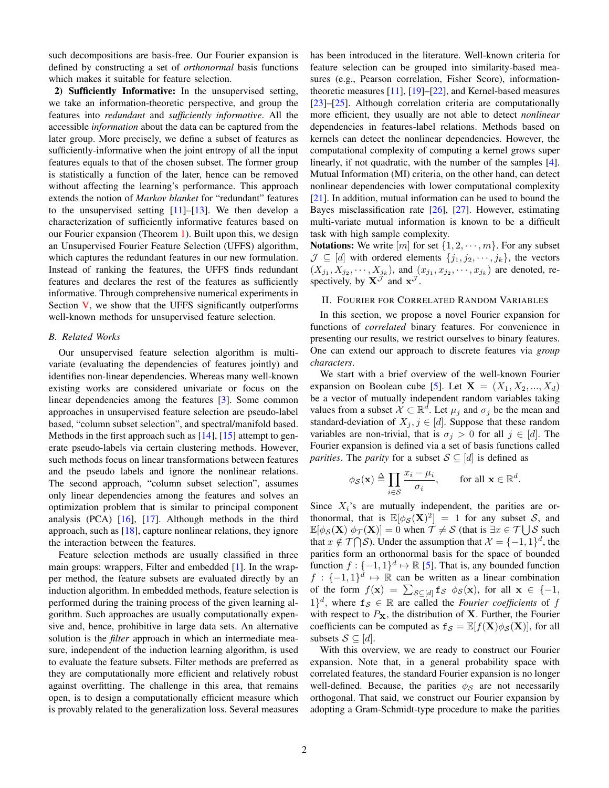such decompositions are basis-free. Our Fourier expansion is defined by constructing a set of *orthonormal* basis functions which makes it suitable for feature selection.

2) Sufficiently Informative: In the unsupervised setting, we take an information-theoretic perspective, and group the features into *redundant* and *sufficiently informative*. All the accessible *information* about the data can be captured from the later group. More precisely, we define a subset of features as sufficiently-informative when the joint entropy of all the input features equals to that of the chosen subset. The former group is statistically a function of the later, hence can be removed without affecting the learning's performance. This approach extends the notion of *Markov blanket* for "redundant" features to the unsupervised setting  $[11]$ – $[13]$ . We then develop a characterization of sufficiently informative features based on our Fourier expansion (Theorem [1\)](#page-3-0). Built upon this, we design an Unsupervised Fourier Feature Selection (UFFS) algorithm, which captures the redundant features in our new formulation. Instead of ranking the features, the UFFS finds redundant features and declares the rest of the features as sufficiently informative. Through comprehensive numerical experiments in Section  $V$ , we show that the UFFS significantly outperforms well-known methods for unsupervised feature selection.

# *B. Related Works*

Our unsupervised feature selection algorithm is multivariate (evaluating the dependencies of features jointly) and identifies non-linear dependencies. Whereas many well-known existing works are considered univariate or focus on the linear dependencies among the features [\[3\]](#page-5-1). Some common approaches in unsupervised feature selection are pseudo-label based, "column subset selection", and spectral/manifold based. Methods in the first approach such as [\[14\]](#page-5-10), [\[15\]](#page-5-11) attempt to generate pseudo-labels via certain clustering methods. However, such methods focus on linear transformations between features and the pseudo labels and ignore the nonlinear relations. The second approach, "column subset selection", assumes only linear dependencies among the features and solves an optimization problem that is similar to principal component analysis (PCA) [\[16\]](#page-5-12), [\[17\]](#page-5-13). Although methods in the third approach, such as [\[18\]](#page-5-14), capture nonlinear relations, they ignore the interaction between the features.

Feature selection methods are usually classified in three main groups: wrappers, Filter and embedded [\[1\]](#page-5-0). In the wrapper method, the feature subsets are evaluated directly by an induction algorithm. In embedded methods, feature selection is performed during the training process of the given learning algorithm. Such approaches are usually computationally expensive and, hence, prohibitive in large data sets. An alternative solution is the *filter* approach in which an intermediate measure, independent of the induction learning algorithm, is used to evaluate the feature subsets. Filter methods are preferred as they are computationally more efficient and relatively robust against overfitting. The challenge in this area, that remains open, is to design a computationally efficient measure which is provably related to the generalization loss. Several measures has been introduced in the literature. Well-known criteria for feature selection can be grouped into similarity-based measures (e.g., Pearson correlation, Fisher Score), informationtheoretic measures [\[11\]](#page-5-8), [\[19\]](#page-5-15)–[\[22\]](#page-5-16), and Kernel-based measures [\[23\]](#page-5-17)–[\[25\]](#page-5-18). Although correlation criteria are computationally more efficient, they usually are not able to detect *nonlinear* dependencies in features-label relations. Methods based on kernels can detect the nonlinear dependencies. However, the computational complexity of computing a kernel grows super linearly, if not quadratic, with the number of the samples [\[4\]](#page-5-2). Mutual Information (MI) criteria, on the other hand, can detect nonlinear dependencies with lower computational complexity [\[21\]](#page-5-19). In addition, mutual information can be used to bound the Bayes misclassification rate [\[26\]](#page-5-20), [\[27\]](#page-5-21). However, estimating multi-variate mutual information is known to be a difficult task with high sample complexity.

**Notations:** We write  $[m]$  for set  $\{1, 2, \dots, m\}$ . For any subset  $\mathcal{J} \subseteq [d]$  with ordered elements  $\{j_1, j_2, \dots, j_k\}$ , the vectors  $(X_{j_1}, X_{j_2}, \dots, X_{j_k})$ , and  $(x_{j_1}, x_{j_2}, \dots, x_{j_k})$  are denoted, respectively, by  $X^{\mathcal{J}}$  and  $x^{\mathcal{J}}$ .

# <span id="page-1-0"></span>II. FOURIER FOR CORRELATED RANDOM VARIABLES

In this section, we propose a novel Fourier expansion for functions of *correlated* binary features. For convenience in presenting our results, we restrict ourselves to binary features. One can extend our approach to discrete features via *group characters*.

We start with a brief overview of the well-known Fourier expansion on Boolean cube [\[5\]](#page-5-3). Let  $X = (X_1, X_2, ..., X_d)$ be a vector of mutually independent random variables taking values from a subset  $\mathcal{X} \subset \mathbb{R}^d$ . Let  $\mu_j$  and  $\sigma_j$  be the mean and standard-deviation of  $X_j, j \in [d]$ . Suppose that these random variables are non-trivial, that is  $\sigma_j > 0$  for all  $j \in [d]$ . The Fourier expansion is defined via a set of basis functions called *parities*. The *parity* for a subset  $S \subseteq [d]$  is defined as

$$
\phi_{\mathcal{S}}(\mathbf{x}) \triangleq \prod_{i \in \mathcal{S}} \frac{x_i - \mu_i}{\sigma_i}, \quad \text{for all } \mathbf{x} \in \mathbb{R}^d.
$$

Since  $X_i$ 's are mutually independent, the parities are orthonormal, that is  $\mathbb{E}[\phi_{\mathcal{S}}(\mathbf{X})^2] = 1$  for any subset S, and  $\mathbb{E}[\phi_{\mathcal{S}}(\mathbf{X}) \phi_{\mathcal{T}}(\mathbf{X})] = 0$  when  $\mathcal{T} \neq \mathcal{S}$  (that is  $\exists x \in \mathcal{T} \cup \mathcal{S}$  such that  $x \notin \mathcal{T} \cap \mathcal{S}$ ). Under the assumption that  $\mathcal{X} = \{-1, 1\}^d$ , the parities form an orthonormal basis for the space of bounded function  $f: \{-1, 1\}^d \mapsto \mathbb{R}$  [\[5\]](#page-5-3). That is, any bounded function  $f : \{-1,1\}^d \mapsto \mathbb{R}$  can be written as a linear combination of the form  $f(\mathbf{x}) = \sum_{\mathcal{S} \subseteq [d]} \mathbf{f}_{\mathcal{S}} \phi_{\mathcal{S}}(\mathbf{x})$ , for all  $\mathbf{x} \in \{-1,$  $1$ <sup>d</sup>, where  $f_s \in \mathbb{R}$  are called the *Fourier coefficients* of f with respect to  $P<sub>X</sub>$ , the distribution of X. Further, the Fourier coefficients can be computed as  $f_S = \mathbb{E}[f(\mathbf{X})\phi_S(\mathbf{X})]$ , for all subsets  $S \subseteq [d]$ .

With this overview, we are ready to construct our Fourier expansion. Note that, in a general probability space with correlated features, the standard Fourier expansion is no longer well-defined. Because, the parities  $\phi_{\mathcal{S}}$  are not necessarily orthogonal. That said, we construct our Fourier expansion by adopting a Gram-Schmidt-type procedure to make the parities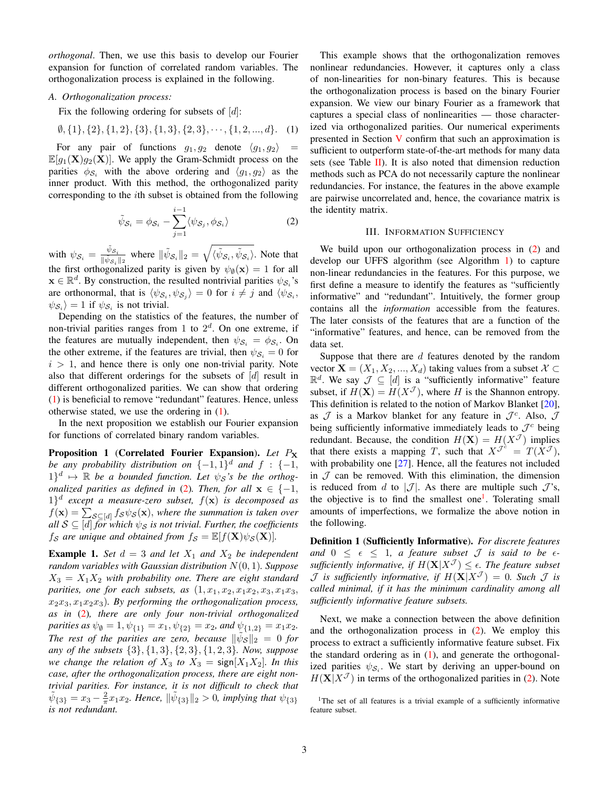*orthogonal*. Then, we use this basis to develop our Fourier expansion for function of correlated random variables. The orthogonalization process is explained in the following.

*A. Orthogonalization process:*

Fix the following ordering for subsets of  $[d]$ :

$$
\emptyset, \{1\}, \{2\}, \{1, 2\}, \{3\}, \{1, 3\}, \{2, 3\}, \cdots, \{1, 2, \ldots, d\}.
$$
 (1)

For any pair of functions  $g_1, g_2$  denote  $\langle g_1, g_2 \rangle$  =  $\mathbb{E}[g_1(\mathbf{X})g_2(\mathbf{X})]$ . We apply the Gram-Schmidt process on the parities  $\phi_{\mathcal{S}_i}$  with the above ordering and  $\langle g_1, g_2 \rangle$  as the inner product. With this method, the orthogonalized parity corresponding to the ith subset is obtained from the following

$$
\tilde{\psi}_{\mathcal{S}_i} = \phi_{\mathcal{S}_i} - \sum_{j=1}^{i-1} \langle \psi_{\mathcal{S}_j}, \phi_{\mathcal{S}_i} \rangle \tag{2}
$$

with  $\psi_{\mathcal{S}_i} = \frac{\tilde{\psi}_{\mathcal{S}_i}}{\|\tilde{\psi}_{\mathcal{S}_i}\|}$  $\frac{\tilde{\psi}s_i}{\|\tilde{\psi}s_i\|_2}$  where  $\|\tilde{\psi}s_i\|_2 = \sqrt{\langle \tilde{\psi}s_i, \tilde{\psi}s_i \rangle}$ . Note that the first orthogonalized parity is given by  $\psi_{\emptyset}(\mathbf{x}) = 1$  for all  $\mathbf{x} \in \mathbb{R}^d$ . By construction, the resulted nontrivial parities  $\psi_{\mathcal{S}_i}$ 's are orthonormal, that is  $\langle \psi_{\mathcal{S}_i}, \psi_{\mathcal{S}_j} \rangle = 0$  for  $i \neq j$  and  $\langle \psi_{\mathcal{S}_i}, \psi_{\mathcal{S}_j} \rangle$  $|\psi_{\mathcal{S}_i}\rangle = 1$  if  $\psi_{\mathcal{S}_i}$  is not trivial.

Depending on the statistics of the features, the number of non-trivial parities ranges from 1 to  $2<sup>d</sup>$ . On one extreme, if the features are mutually independent, then  $\psi_{\mathcal{S}_i} = \phi_{\mathcal{S}_i}$ . On the other extreme, if the features are trivial, then  $\psi_{\mathcal{S}_i} = 0$  for  $i > 1$ , and hence there is only one non-trivial parity. Note also that different orderings for the subsets of  $[d]$  result in different orthogonalized parities. We can show that ordering [\(1\)](#page-2-1) is beneficial to remove "redundant" features. Hence, unless otherwise stated, we use the ordering in [\(1\)](#page-2-1).

In the next proposition we establish our Fourier expansion for functions of correlated binary random variables.

<span id="page-2-0"></span>Proposition 1 (Correlated Fourier Expansion). *Let* P<sup>X</sup> *be any probability distribution on*  $\{-1,1\}^d$  *and*  $f : \{-1,$  $(1)^d \mapsto \mathbb{R}$  be a bounded function. Let  $\psi_S$ 's be the orthog*onalized parities as defined in* [\(2\)](#page-2-2)*. Then, for all*  $x \in \{-1,$  $(1)^d$  except a measure-zero subset,  $f(\mathbf{x})$  is decomposed as  $f(\mathbf{x}) = \sum_{\mathcal{S} \subseteq [d]} f_{\mathcal{S}} \psi_{\mathcal{S}}(\mathbf{x})$ , where the summation is taken over *all*  $S \subseteq [d]$  *for which*  $\psi_S$  *is not trivial. Further, the coefficients f*<sub>S</sub> are unique and obtained from  $f_{\mathcal{S}} = \mathbb{E}[f(\mathbf{X})\psi_{\mathcal{S}}(\mathbf{X})]$ .

**Example 1.** *Set*  $d = 3$  *and let*  $X_1$  *and*  $X_2$  *be independent random variables with Gaussian distribution* N(0, 1)*. Suppose*  $X_3 = X_1 X_2$  with probability one. There are eight standard *parities, one for each subsets, as*  $(1, x_1, x_2, x_1x_2, x_3, x_1x_3,$  $x_2x_3, x_1x_2x_3$ *. By performing the orthogonalization process, as in* [\(2\)](#page-2-2)*, there are only four non-trivial orthogonalized parities as*  $\psi_{\emptyset} = 1, \psi_{\{1\}} = x_1, \psi_{\{2\}} = x_2$ *, and*  $\psi_{\{1,2\}} = x_1x_2$ *. The rest of the parities are zero, because*  $\|\tilde{\psi}_{\mathcal{S}}\|_2 = 0$  for *any of the subsets* {3}, {1, 3}, {2, 3}, {1, 2, 3}*. Now, suppose we change the relation of*  $X_3$  *to*  $X_3$  = sign[ $X_1X_2$ ]*. In this case, after the orthogonalization process, there are eight nontrivial parities. For instance, it is not difficult to check that*  $\tilde{\psi}_{\{3\}} = x_3 - \frac{2}{\pi} x_1 x_2$ . Hence,  $\|\tilde{\psi}_{\{3\}}\|_2 > 0$ , implying that  $\psi_{\{3\}}$ *is not redundant.*

<span id="page-2-1"></span>This example shows that the orthogonalization removes nonlinear redundancies. However, it captures only a class of non-linearities for non-binary features. This is because the orthogonalization process is based on the binary Fourier expansion. We view our binary Fourier as a framework that captures a special class of nonlinearities — those characterized via orthogonalized parities. Our numerical experiments presented in Section [V](#page-4-0) confirm that such an approximation is sufficient to outperform state-of-the-art methods for many data sets (see Table  $II$ ). It is also noted that dimension reduction methods such as PCA do not necessarily capture the nonlinear redundancies. For instance, the features in the above example are pairwise uncorrelated and, hence, the covariance matrix is the identity matrix.

## III. INFORMATION SUFFICIENCY

<span id="page-2-2"></span>We build upon our orthogonalization process in  $(2)$  and develop our UFFS algorithm (see Algorithm [1\)](#page-4-2) to capture non-linear redundancies in the features. For this purpose, we first define a measure to identify the features as "sufficiently informative" and "redundant". Intuitively, the former group contains all the *information* accessible from the features. The later consists of the features that are a function of the "informative" features, and hence, can be removed from the data set.

Suppose that there are  $d$  features denoted by the random vector  $\mathbf{X} = (X_1, X_2, ..., X_d)$  taking values from a subset  $\mathcal{X} \subset \mathcal{X}$  $\mathbb{R}^d$ . We say  $\mathcal{J} \subseteq [d]$  is a "sufficiently informative" feature subset, if  $H(\mathbf{X}) = H(X^{\mathcal{J}})$ , where H is the Shannon entropy. This definition is related to the notion of Markov Blanket [\[20\]](#page-5-22), as  $\mathcal J$  is a Markov blanket for any feature in  $\mathcal J^c$ . Also,  $\mathcal J$ being sufficiently informative immediately leads to  $\mathcal{J}^c$  being redundant. Because, the condition  $H(\mathbf{X}) = H(X^{\mathcal{J}})$  implies that there exists a mapping T, such that  $X^{\mathcal{J}^{\circ}} = T(X^{\mathcal{J}})$ , with probability one [\[27\]](#page-5-21). Hence, all the features not included in  $J$  can be removed. With this elimination, the dimension is reduced from d to  $|\mathcal{J}|$ . As there are multiple such  $\mathcal{J}'$ 's, the objective is to find the smallest one<sup>[1](#page-2-3)</sup>. Tolerating small amounts of imperfections, we formalize the above notion in the following.

<span id="page-2-4"></span>Definition 1 (Sufficiently Informative). *For discrete features and*  $0 \leq \epsilon \leq 1$ *, a feature subset*  $\mathcal{J}$  *is said to be*  $\epsilon$ *sufficiently informative, if*  $H(\mathbf{X}|X^{\mathcal{J}}) \leq \epsilon$ . The feature subset  $\mathcal J$  *is sufficiently informative, if*  $H(\mathbf{X}|X^{\mathcal J}) = 0$ *. Such*  $\mathcal J$  *is called minimal, if it has the minimum cardinality among all sufficiently informative feature subsets.*

Next, we make a connection between the above definition and the orthogonalization process in [\(2\)](#page-2-2). We employ this process to extract a sufficiently informative feature subset. Fix the standard ordering as in  $(1)$ , and generate the orthogonalized parities  $\psi_{\mathcal{S}_i}$ . We start by deriving an upper-bound on  $H(\mathbf{X}|X^{\mathcal{J}})$  in terms of the orthogonalized parities in [\(2\)](#page-2-2). Note

<span id="page-2-3"></span><sup>&</sup>lt;sup>1</sup>The set of all features is a trivial example of a sufficiently informative feature subset.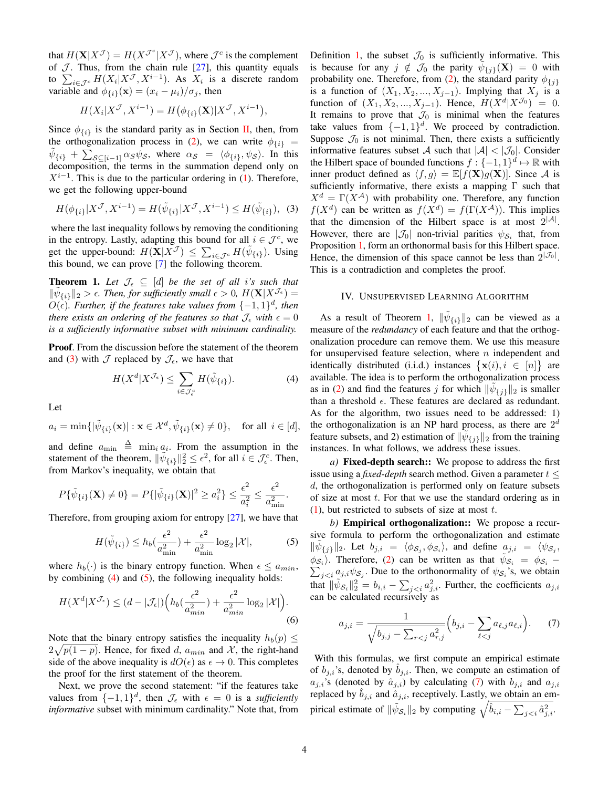that  $H(\mathbf{X}|X^{\mathcal{J}}) = H(X^{\mathcal{J}^c}|X^{\mathcal{J}})$ , where  $\mathcal{J}^c$  is the complement of  $J$ . Thus, from the chain rule  $[27]$ , this quantity equals to  $\sum_{i \in \mathcal{J}^c} H(X_i | X^{\mathcal{J}}, X^{i-1})$ . As  $X_i$  is a discrete random variable and  $\phi_{\{i\}}(\mathbf{x}) = (x_i - \mu_i)/\sigma_j$ , then

$$
H(X_i|X^{\mathcal{J}}, X^{i-1}) = H(\phi_{\{i\}}(\mathbf{X})|X^{\mathcal{J}}, X^{i-1}),
$$

Since  $\phi_{\{i\}}$  is the standard parity as in Section [II,](#page-1-0) then, from the orthogonalization process in [\(2\)](#page-2-2), we can write  $\phi_{\{i\}} =$  $\tilde{\psi}_{\{i\}} + \sum_{\mathcal{S} \subseteq [i-1]} \alpha_{\mathcal{S}} \psi_{\mathcal{S}}$ , where  $\alpha_{\mathcal{S}} = \langle \phi_{\{i\}}, \psi_{\mathcal{S}} \rangle$ . In this decomposition, the terms in the summation depend only on  $X^{i-1}$ . This is due to the particular ordering in [\(1\)](#page-2-1). Therefore, we get the following upper-bound

$$
H(\phi_{\{i\}}|X^{\mathcal{J}}, X^{i-1}) = H(\tilde{\psi}_{\{i\}}|X^{\mathcal{J}}, X^{i-1}) \le H(\tilde{\psi}_{\{i\}}), \tag{3}
$$

where the last inequality follows by removing the conditioning in the entropy. Lastly, adapting this bound for all  $i \in \mathcal{J}^c$ , we get the upper-bound:  $H(\mathbf{X}|X^{\mathcal{J}}) \leq \sum_{i \in \mathcal{J}^c} H(\tilde{\psi}_{\{i\}})$ . Using this bound, we can prove [\[7\]](#page-5-5) the following theorem.

<span id="page-3-0"></span>**Theorem 1.** Let  $\mathcal{J}_{\epsilon} \subseteq [d]$  be the set of all i's such that  $\|\tilde{\psi}_{\{i\}}\|_2 > \epsilon$ . Then, for sufficiently small  $\epsilon > 0$ ,  $H(\mathbf{X}|X^{\mathcal{J}_{\epsilon}}) =$  $O(\epsilon)$ . Further, if the features take values from  $\{-1,1\}^d$ , then *there exists an ordering of the features so that*  $\mathcal{J}_{\epsilon}$  *with*  $\epsilon = 0$ *is a sufficiently informative subset with minimum cardinality.*

**Proof.** From the discussion before the statement of the theorem and [\(3\)](#page-3-1) with  $\mathcal J$  replaced by  $\mathcal J_{\epsilon}$ , we have that

$$
H(X^d | X^{\mathcal{J}_\epsilon}) \le \sum_{i \in \mathcal{J}_\epsilon^c} H(\tilde{\psi}_{\{i\}}). \tag{4}
$$

Let

$$
a_i = \min\{|\tilde{\psi}_{\{i\}}(\mathbf{x})| : \mathbf{x} \in \mathcal{X}^d, \tilde{\psi}_{\{i\}}(\mathbf{x}) \neq 0\}, \quad \text{for all } i \in [d],
$$

and define  $a_{\min} \triangleq \min_i a_i$ . From the assumption in the statement of the theorem,  $\|\tilde{\psi}_{\{i\}}\|_2^2 \leq \epsilon^2$ , for all  $i \in \mathcal{J}_{\epsilon}^c$ . Then, from Markov's inequality, we obtain that

$$
P\{\tilde{\psi}_{\{i\}}(\mathbf{X}) \neq 0\} = P\{|\tilde{\psi}_{\{i\}}(\mathbf{X})|^2 \ge a_i^2\} \le \frac{\epsilon^2}{a_i^2} \le \frac{\epsilon^2}{a_{\min}^2}.
$$

Therefore, from grouping axiom for entropy [\[27\]](#page-5-21), we have that

$$
H(\tilde{\psi}_{\{i\}}) \le h_b(\frac{\epsilon^2}{a_{\min}^2}) + \frac{\epsilon^2}{a_{\min}^2} \log_2 |\mathcal{X}|,\tag{5}
$$

where  $h_b(\cdot)$  is the binary entropy function. When  $\epsilon \le a_{min}$ , by combining  $(4)$  and  $(5)$ , the following inequality holds:

$$
H(X^d | X^{\mathcal{J}_\epsilon}) \le (d - |\mathcal{J}_\epsilon|) \left( h_b(\frac{\epsilon^2}{a_{min}^2}) + \frac{\epsilon^2}{a_{min}^2} \log_2 |\mathcal{X}| \right).
$$
\n<sup>(6)</sup>

Note that the binary entropy satisfies the inequality  $h_b(p)$  <  $2\sqrt{p(1-p)}$ . Hence, for fixed d,  $a_{min}$  and X, the right-hand side of the above inequality is  $dO(\epsilon)$  as  $\epsilon \to 0$ . This completes the proof for the first statement of the theorem.

Next, we prove the second statement: "if the features take values from  $\{-1,1\}^d$ , then  $\mathcal{J}_{\epsilon}$  with  $\epsilon = 0$  is a *sufficiently informative* subset with minimum cardinality." Note that, from Definition [1,](#page-2-4) the subset  $\mathcal{J}_0$  is sufficiently informative. This is because for any  $j \notin \mathcal{J}_0$  the parity  $\tilde{\psi}_{\{j\}}(\mathbf{X}) = 0$  with probability one. Therefore, from [\(2\)](#page-2-2), the standard parity  $\phi_{\{j\}}$ is a function of  $(X_1, X_2, ..., X_{j-1})$ . Implying that  $X_j$  is a function of  $(X_1, X_2, ..., X_{j-1})$ . Hence,  $H(X^d | X^{\mathcal{J}_0}) = 0$ . It remains to prove that  $\mathcal{J}_0$  is minimal when the features take values from  $\{-1, 1\}^d$ . We proceed by contradiction. Suppose  $\mathcal{J}_0$  is not minimal. Then, there exists a sufficiently informative features subset A such that  $|\mathcal{A}| < |\mathcal{J}_0|$ . Consider the Hilbert space of bounded functions  $f: \{-1, 1\}^d \mapsto \mathbb{R}$  with inner product defined as  $\langle f, g \rangle = \mathbb{E}[f(\mathbf{X})g(\mathbf{X})]$ . Since A is sufficiently informative, there exists a mapping Γ such that  $X^d = \Gamma(X^{\mathcal{A}})$  with probability one. Therefore, any function  $f(X^d)$  can be written as  $f(X^d) = f(\Gamma(X^{\mathcal{A}}))$ . This implies that the dimension of the Hilbert space is at most  $2^{|A|}$ . However, there are  $|\mathcal{J}_0|$  non-trivial parities  $\psi_{\mathcal{S}_i}$  that, from Proposition [1,](#page-2-0) form an orthonormal basis for this Hilbert space. Hence, the dimension of this space cannot be less than  $2^{|\mathcal{J}_0|}$ . This is a contradiction and completes the proof.

## <span id="page-3-1"></span>IV. UNSUPERVISED LEARNING ALGORITHM

<span id="page-3-2"></span>As a result of Theorem [1,](#page-3-0)  $\|\tilde{\psi}_{\{i\}}\|_2$  can be viewed as a measure of the *redundancy* of each feature and that the orthogonalization procedure can remove them. We use this measure for unsupervised feature selection, where  $n$  independent and identically distributed (i.i.d.) instances  $\{x(i), i \in [n]\}$  are available. The idea is to perform the orthogonalization process as in [\(2\)](#page-2-2) and find the features j for which  $\|\tilde{\psi}_{\{j\}}\|_2$  is smaller than a threshold  $\epsilon$ . These features are declared as redundant. As for the algorithm, two issues need to be addressed: 1) the orthogonalization is an NP hard process, as there are  $2^d$ feature subsets, and 2) estimation of  $\|\tilde{\psi}_{\{j\}}\|_2$  from the training instances. In what follows, we address these issues.

*a)* Fixed-depth search:: We propose to address the first issue using a *fixed-depth* search method. Given a parameter  $t \leq$  $d$ , the orthogonalization is performed only on feature subsets of size at most  $t$ . For that we use the standard ordering as in  $(1)$ , but restricted to subsets of size at most t.

<span id="page-3-3"></span>*b)* Empirical orthogonalization:: We propose a recursive formula to perform the orthogonalization and estimate  $\|\tilde{\psi}_{\{j\}}\|_2$ . Let  $b_{j,i} = \langle \phi_{\mathcal{S}_j}, \phi_{\mathcal{S}_i} \rangle$ , and define  $a_{j,i} = \langle \psi_{\mathcal{S}_j}, \phi_{\mathcal{S}_i} \rangle$  $\phi_{\mathcal{S}_i}$ ). Therefore, [\(2\)](#page-2-2) can be written as that  $\tilde{\psi}_{\mathcal{S}_i} = \phi_{\mathcal{S}_i}$  –  $\sum_{j \leq i} a_{j,i} \psi_{\mathcal{S}_j}$ . Due to the orthonormality of  $\psi_{\mathcal{S}_i}$ 's, we obtain that  $\|\tilde{\psi}_{\mathcal{S}_i}\|_2^2 = b_{i,i} - \sum_{j. Further, the coefficients  $a_{j,i}$$ can be calculated recursively as

<span id="page-3-4"></span>
$$
a_{j,i} = \frac{1}{\sqrt{b_{j,j} - \sum_{r < j} a_{r,j}^2}} \left( b_{j,i} - \sum_{\ell < j} a_{\ell,j} a_{\ell,i} \right). \tag{7}
$$

With this formulas, we first compute an empirical estimate of  $b_{j,i}$ 's, denoted by  $\hat{b}_{j,i}$ . Then, we compute an estimation of  $a_{i,i}$ 's (denoted by  $\hat{a}_{i,i}$ ) by calculating [\(7\)](#page-3-4) with  $b_{i,i}$  and  $a_{i,i}$ replaced by  $\hat{b}_{j,i}$  and  $\hat{a}_{j,i}$ , receptively. Lastly, we obtain an empirical estimate of  $\|\tilde{\psi}_{S_i}\|_2$  by computing  $\sqrt{\hat{b}_{i,i} - \sum_{j.$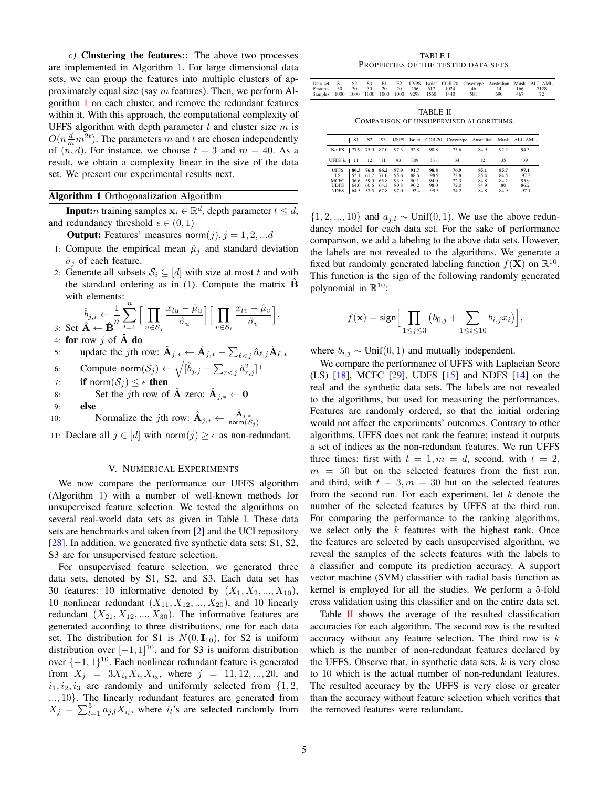*c)* Clustering the features:: The above two processes are implemented in Algorithm [1.](#page-4-2) For large dimensional data sets, we can group the features into multiple clusters of approximately equal size (say  $m$  features). Then, we perform Algorithm [1](#page-4-2) on each cluster, and remove the redundant features within it. With this approach, the computational complexity of UFFS algorithm with depth parameter  $t$  and cluster size  $m$  is  $O(n\frac{d}{m}m^{2t})$ . The parameters m and t are chosen independently of  $(n, d)$ . For instance, we choose  $t = 3$  and  $m = 40$ . As a result, we obtain a complexity linear in the size of the data set. We present our experimental results next.

# <span id="page-4-2"></span>Algorithm 1 Orthogonalization Algorithm

**Input:***n* training samples  $x_i \in \mathbb{R}^d$ , depth parameter  $t \leq d$ , and redundancy threshold  $\epsilon \in (0, 1)$ 

**Output:** Features' measures norm $(j), j = 1, 2, \dots d$ 

- 1: Compute the empirical mean  $\hat{\mu}_j$  and standard deviation  $\hat{\sigma}_i$  of each feature.
- 2: Generate all subsets  $S_i \subseteq [d]$  with size at most t and with the standard ordering as in  $(1)$ . Compute the matrix  $\overrightarrow{B}$ with elements:

$$
\hat{b}_{j,i} \leftarrow \frac{1}{\mathbf{B}} \sum_{l=1}^n \Big[ \prod_{u \in \mathcal{S}_j} \frac{x_{lu} - \hat{\mu}_u}{\hat{\sigma}_u} \Big] \Big[ \prod_{v \in \mathcal{S}_i} \frac{x_{lv} - \hat{\mu}_v}{\hat{\sigma}_v} \Big].
$$

4: for row  $j$  of  $A$  do

- 5: update the *j*th row:  $\hat{A}_{j,*} \leftarrow \hat{A}_{j,*} \sum_{\ell \leq j} \hat{a}_{\ell,j} \hat{A}_{\ell,*}$
- 6: Compute norm $(\mathcal{S}_j) \leftarrow \sqrt{[\hat{b}_{j,j} \sum_{r < j} \hat{a}_{r,j}^2]^+}$
- 7: if norm $(S_i) \leq \epsilon$  then
- 8: Set the jth row of  $\hat{A}$  zero:  $\hat{A}_{j,*} \leftarrow 0$
- 9: else 10: Normalize the *j*th row:  $\hat{A}_{j,*} \leftarrow \frac{\hat{A}_{j,*}}{\text{norm}(S)}$ norm $(\mathcal{S}_j)$
- 11: Declare all  $j \in [d]$  with norm $(j) \geq \epsilon$  as non-redundant.

#### V. NUMERICAL EXPERIMENTS

<span id="page-4-0"></span>We now compare the performance our UFFS algorithm (Algorithm [1\)](#page-4-2) with a number of well-known methods for unsupervised feature selection. We tested the algorithms on several real-world data sets as given in Table [I.](#page-4-3) These data sets are benchmarks and taken from [\[2\]](#page-5-23) and the UCI repository [\[28\]](#page-5-24). In addition, we generated five synthetic data sets: S1, S2, S3 are for unsupervised feature selection.

For unsupervised feature selection, we generated three data sets, denoted by S1, S2, and S3. Each data set has 30 features: 10 informative denoted by  $(X_1, X_2, ..., X_{10})$ , 10 nonlinear redundant  $(X_{11}, X_{12}, ..., X_{20})$ , and 10 linearly redundant  $(X_{21}, X_{12},..., X_{30})$ . The informative features are generated according to three distributions, one for each data set. The distribution for S1 is  $N(0, I_{10})$ , for S2 is uniform distribution over  $[-1, 1]^{10}$ , and for S3 is uniform distribution over  $\{-1, 1\}^{10}$ . Each nonlinear redundant feature is generated from  $X_j = 3X_{i_1}X_{i_2}X_{i_3}$ , where  $j = 11, 12, ..., 20$ , and  $i_1, i_2, i_3$  are randomly and uniformly selected from  $\{1, 2,$ ..., 10}. The linearly redundant features are generated from  $X_j = \sum_{l=1}^5 a_{j,l} X_{i_l}$ , where  $i_l$ 's are selected randomly from

TABLE I PROPERTIES OF THE TESTED DATA SETS.

<span id="page-4-3"></span>

|  |  |  |  |                                                     |     |     | Data set   S1 S2 S3 E1 E2 USPS Isolet COIL20 Covertype Australian Musk ALL AML |
|--|--|--|--|-----------------------------------------------------|-----|-----|--------------------------------------------------------------------------------|
|  |  |  |  |                                                     |     |     | Features 30 30 30 20 20 256 617 1024 46 14 166 7128                            |
|  |  |  |  | Samples 1000 1000 1000 1000 1000 9298 1560 1440 581 | 690 | 467 |                                                                                |

TABLE II COMPARISON OF UNSUPERVISED ALGORITHMS.

<span id="page-4-1"></span>

|                                                           | - S1              | S <sub>2</sub> |                |                                                                              |                                      |                                      |                                      |                                      |                                     | S3 USPS Isolet COIL20 Covertype Australian Musk ALL AML |
|-----------------------------------------------------------|-------------------|----------------|----------------|------------------------------------------------------------------------------|--------------------------------------|--------------------------------------|--------------------------------------|--------------------------------------|-------------------------------------|---------------------------------------------------------|
| No FS   77.9 75.0 87.0 97.3 92.8                          |                   |                |                |                                                                              |                                      | 98.8                                 | 75.6                                 | 84.9                                 | 92.2                                | 94.3                                                    |
| UFFS $k$   11   12   11                                   |                   |                |                | - 93                                                                         | 309                                  | 331                                  | 34                                   | 12                                   | 35                                  | 39                                                      |
| <b>UFFS</b><br>LS 9<br>MCFC<br><b>UDFS</b><br><b>NDFS</b> | 164.060.664.380.8 |                | 80.3 76.8 86.2 | 97.0<br>$155.1$ 61.2 71.0 95.6<br>56.6 59.0 65.8 93.9<br>64.5 57.5 67.8 97.0 | 91.7<br>88.6<br>90.1<br>90.2<br>92.4 | 98.8<br>98.9<br>94.0<br>98.0<br>99.3 | 76.9<br>72.8<br>72.3<br>72.0<br>74.2 | 85.1<br>85.4<br>84.8<br>84.9<br>84.8 | 85.7<br>84.5<br>84.2<br>-80<br>84.9 | 97.1<br>97.2<br>95.9<br>86.2<br>97.1                    |

 $\{1, 2, ..., 10\}$  and  $a_{j,l} \sim \text{Unif}(0, 1)$ . We use the above redundancy model for each data set. For the sake of performance comparison, we add a labeling to the above data sets. However, the labels are not revealed to the algorithms. We generate a fixed but randomly generated labeling function  $f(\mathbf{X})$  on  $\mathbb{R}^{10}$ . This function is the sign of the following randomly generated polynomial in  $\mathbb{R}^{10}$ :

$$
f(\mathbf{x}) = \text{sign}\Big[\prod_{1 \leq j \leq 3} \big(b_{0,j} + \sum_{1 \leq i \leq 10} b_{i,j} x_i\big)\Big],
$$

where  $b_{i,j} \sim \text{Unif}(0,1)$  and mutually independent.

We compare the performance of UFFS with Laplacian Score (LS) [\[18\]](#page-5-14), MCFC [\[29\]](#page-5-25), UDFS [\[15\]](#page-5-11) and NDFS [\[14\]](#page-5-10) on the real and the synthetic data sets. The labels are not revealed to the algorithms, but used for measuring the performances. Features are randomly ordered, so that the initial ordering would not affect the experiments' outcomes. Contrary to other algorithms, UFFS does not rank the feature; instead it outputs a set of indices as the non-redundant features. We run UFFS three times: first with  $t = 1, m = d$ , second, with  $t = 2$ ,  $m = 50$  but on the selected features from the first run, and third, with  $t = 3, m = 30$  but on the selected features from the second run. For each experiment, let  $k$  denote the number of the selected features by UFFS at the third run. For comparing the performance to the ranking algorithms, we select only the  $k$  features with the highest rank. Once the features are selected by each unsupervised algorithm, we reveal the samples of the selects features with the labels to a classifier and compute its prediction accuracy. A support vector machine (SVM) classifier with radial basis function as kernel is employed for all the studies. We perform a 5-fold cross validation using this classifier and on the entire data set.

Table  $\overline{II}$  $\overline{II}$  $\overline{II}$  shows the average of the resulted classification accuracies for each algorithm. The second row is the resulted accuracy without any feature selection. The third row is  $k$ which is the number of non-redundant features declared by the UFFS. Observe that, in synthetic data sets,  $k$  is very close to 10 which is the actual number of non-redundant features. The resulted accuracy by the UFFS is very close or greater than the accuracy without feature selection which verifies that the removed features were redundant.